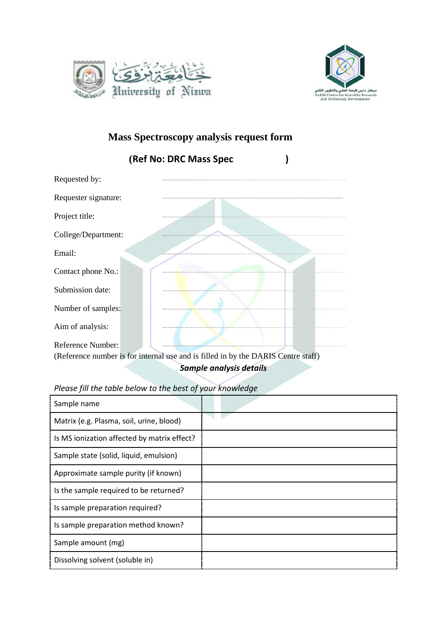



## **Mass Spectroscopy analysis request form**



*Sample analysis details*

## *Please fill the table below to the best of your knowledge*

| Sample name                                 |  |
|---------------------------------------------|--|
| Matrix (e.g. Plasma, soil, urine, blood)    |  |
| Is MS ionization affected by matrix effect? |  |
| Sample state (solid, liquid, emulsion)      |  |
| Approximate sample purity (if known)        |  |
| Is the sample required to be returned?      |  |
| Is sample preparation required?             |  |
| Is sample preparation method known?         |  |
| Sample amount (mg)                          |  |
| Dissolving solvent (soluble in)             |  |